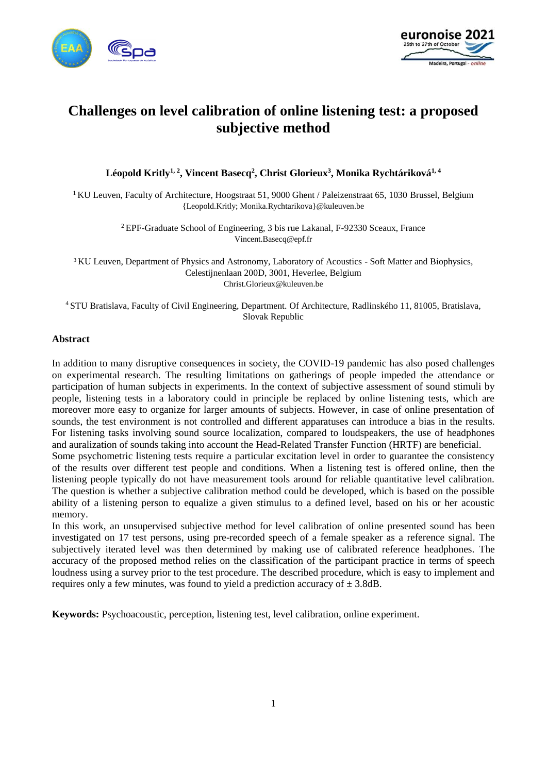



# **Challenges on level calibration of online listening test: a proposed subjective method**

**Léopold Kritly1, 2 , Vincent Basecq<sup>2</sup> , Christ Glorieux<sup>3</sup> , Monika Rychtáriková1, 4**

<sup>1</sup> KU Leuven, Faculty of Architecture, Hoogstraat 51, 9000 Ghent / Paleizenstraat 65, 1030 Brussel, Belgium {Leopold.Kritly; Monika.Rychtarikova}@kuleuven.be

> <sup>2</sup> EPF-Graduate School of Engineering, 3 bis rue Lakanal, F-92330 Sceaux, France Vincent.Basecq@epf.fr

<sup>3</sup> KU Leuven, Department of Physics and Astronomy, Laboratory of Acoustics - Soft Matter and Biophysics, Celestijnenlaan 200D, 3001, Heverlee, Belgium Christ.Glorieux@kuleuven.be

<sup>4</sup> STU Bratislava, Faculty of Civil Engineering, Department. Of Architecture, Radlinského 11, 81005, Bratislava, Slovak Republic

#### **Abstract**

In addition to many disruptive consequences in society, the COVID-19 pandemic has also posed challenges on experimental research. The resulting limitations on gatherings of people impeded the attendance or participation of human subjects in experiments. In the context of subjective assessment of sound stimuli by people, listening tests in a laboratory could in principle be replaced by online listening tests, which are moreover more easy to organize for larger amounts of subjects. However, in case of online presentation of sounds, the test environment is not controlled and different apparatuses can introduce a bias in the results. For listening tasks involving sound source localization, compared to loudspeakers, the use of headphones and auralization of sounds taking into account the Head-Related Transfer Function (HRTF) are beneficial.

Some psychometric listening tests require a particular excitation level in order to guarantee the consistency of the results over different test people and conditions. When a listening test is offered online, then the listening people typically do not have measurement tools around for reliable quantitative level calibration. The question is whether a subjective calibration method could be developed, which is based on the possible ability of a listening person to equalize a given stimulus to a defined level, based on his or her acoustic memory.

In this work, an unsupervised subjective method for level calibration of online presented sound has been investigated on 17 test persons, using pre-recorded speech of a female speaker as a reference signal. The subjectively iterated level was then determined by making use of calibrated reference headphones. The accuracy of the proposed method relies on the classification of the participant practice in terms of speech loudness using a survey prior to the test procedure. The described procedure, which is easy to implement and requires only a few minutes, was found to yield a prediction accuracy of  $\pm$  3.8dB.

**Keywords:** Psychoacoustic, perception, listening test, level calibration, online experiment.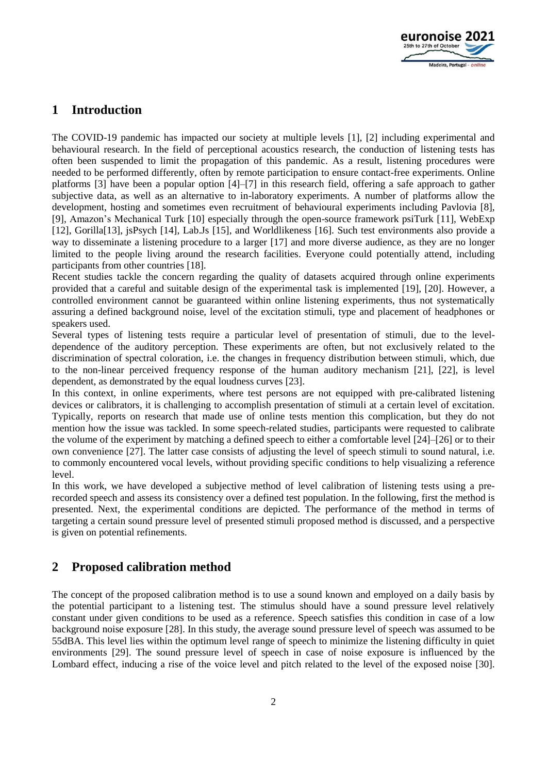

# **1 Introduction**

The COVID-19 pandemic has impacted our society at multiple levels [1], [2] including experimental and behavioural research. In the field of perceptional acoustics research, the conduction of listening tests has often been suspended to limit the propagation of this pandemic. As a result, listening procedures were needed to be performed differently, often by remote participation to ensure contact-free experiments. Online platforms [3] have been a popular option [4]–[7] in this research field, offering a safe approach to gather subjective data, as well as an alternative to in-laboratory experiments. A number of platforms allow the development, hosting and sometimes even recruitment of behavioural experiments including Pavlovia [8], [9], Amazon's Mechanical Turk [10] especially through the open-source framework psiTurk [11], WebExp [12], Gorilla[13], jsPsych [14], Lab.Js [15], and Worldlikeness [16]. Such test environments also provide a way to disseminate a listening procedure to a larger [17] and more diverse audience, as they are no longer limited to the people living around the research facilities. Everyone could potentially attend, including participants from other countries [18].

Recent studies tackle the concern regarding the quality of datasets acquired through online experiments provided that a careful and suitable design of the experimental task is implemented [19], [20]. However, a controlled environment cannot be guaranteed within online listening experiments, thus not systematically assuring a defined background noise, level of the excitation stimuli, type and placement of headphones or speakers used.

Several types of listening tests require a particular level of presentation of stimuli, due to the leveldependence of the auditory perception. These experiments are often, but not exclusively related to the discrimination of spectral coloration, i.e. the changes in frequency distribution between stimuli, which, due to the non-linear perceived frequency response of the human auditory mechanism [21], [22], is level dependent, as demonstrated by the equal loudness curves [23].

In this context, in online experiments, where test persons are not equipped with pre-calibrated listening devices or calibrators, it is challenging to accomplish presentation of stimuli at a certain level of excitation. Typically, reports on research that made use of online tests mention this complication, but they do not mention how the issue was tackled. In some speech-related studies, participants were requested to calibrate the volume of the experiment by matching a defined speech to either a comfortable level [24]–[26] or to their own convenience [27]. The latter case consists of adjusting the level of speech stimuli to sound natural, i.e. to commonly encountered vocal levels, without providing specific conditions to help visualizing a reference level.

In this work, we have developed a subjective method of level calibration of listening tests using a prerecorded speech and assess its consistency over a defined test population. In the following, first the method is presented. Next, the experimental conditions are depicted. The performance of the method in terms of targeting a certain sound pressure level of presented stimuli proposed method is discussed, and a perspective is given on potential refinements.

# **2 Proposed calibration method**

The concept of the proposed calibration method is to use a sound known and employed on a daily basis by the potential participant to a listening test. The stimulus should have a sound pressure level relatively constant under given conditions to be used as a reference. Speech satisfies this condition in case of a low background noise exposure [28]. In this study, the average sound pressure level of speech was assumed to be 55dBA. This level lies within the optimum level range of speech to minimize the listening difficulty in quiet environments [29]. The sound pressure level of speech in case of noise exposure is influenced by the Lombard effect, inducing a rise of the voice level and pitch related to the level of the exposed noise [30].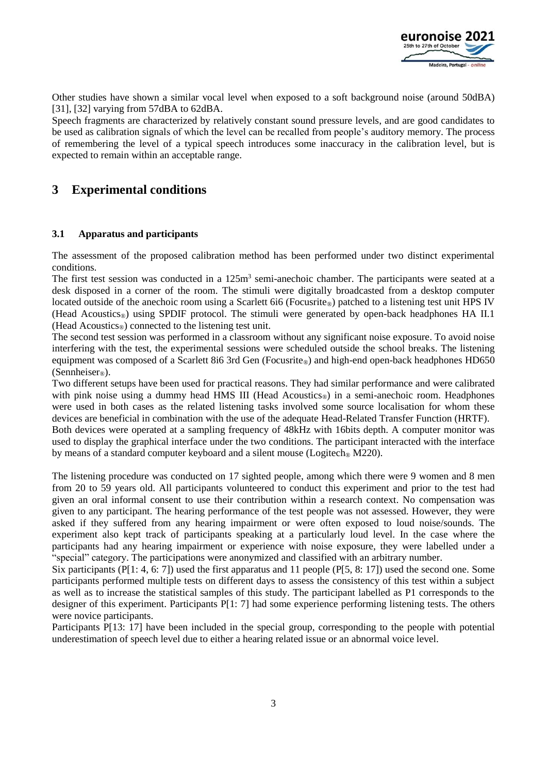

Other studies have shown a similar vocal level when exposed to a soft background noise (around 50dBA) [31], [32] varying from 57dBA to 62dBA.

Speech fragments are characterized by relatively constant sound pressure levels, and are good candidates to be used as calibration signals of which the level can be recalled from people's auditory memory. The process of remembering the level of a typical speech introduces some inaccuracy in the calibration level, but is expected to remain within an acceptable range.

# **3 Experimental conditions**

#### <span id="page-2-0"></span>**3.1 Apparatus and participants**

The assessment of the proposed calibration method has been performed under two distinct experimental conditions.

The first test session was conducted in a 125m<sup>3</sup> semi-anechoic chamber. The participants were seated at a desk disposed in a corner of the room. The stimuli were digitally broadcasted from a desktop computer located outside of the anechoic room using a Scarlett 6i6 (Focusrite®) patched to a listening test unit HPS IV (Head Acoustics<sub>®</sub>) using SPDIF protocol. The stimuli were generated by open-back headphones HA II.1 (Head Acoustics®) connected to the listening test unit.

The second test session was performed in a classroom without any significant noise exposure. To avoid noise interfering with the test, the experimental sessions were scheduled outside the school breaks. The listening equipment was composed of a Scarlett 8i6 3rd Gen (Focusrite®) and high-end open-back headphones HD650 (Sennheiser<sup>®</sup>).

Two different setups have been used for practical reasons. They had similar performance and were calibrated with pink noise using a dummy head HMS III (Head Acoustics<sup>®</sup>) in a semi-anechoic room. Headphones were used in both cases as the related listening tasks involved some source localisation for whom these devices are beneficial in combination with the use of the adequate Head-Related Transfer Function (HRTF). Both devices were operated at a sampling frequency of 48kHz with 16bits depth. A computer monitor was

used to display the graphical interface under the two conditions. The participant interacted with the interface by means of a standard computer keyboard and a silent mouse (Logitech<sup>®</sup> M220).

The listening procedure was conducted on 17 sighted people, among which there were 9 women and 8 men from 20 to 59 years old. All participants volunteered to conduct this experiment and prior to the test had given an oral informal consent to use their contribution within a research context. No compensation was given to any participant. The hearing performance of the test people was not assessed. However, they were asked if they suffered from any hearing impairment or were often exposed to loud noise/sounds. The experiment also kept track of participants speaking at a particularly loud level. In the case where the participants had any hearing impairment or experience with noise exposure, they were labelled under a "special" category. The participations were anonymized and classified with an arbitrary number.

Six participants (P[1: 4, 6: 7]) used the first apparatus and 11 people (P[5, 8: 17]) used the second one. Some participants performed multiple tests on different days to assess the consistency of this test within a subject as well as to increase the statistical samples of this study. The participant labelled as P1 corresponds to the designer of this experiment. Participants P[1: 7] had some experience performing listening tests. The others were novice participants.

Participants P[13: 17] have been included in the special group, corresponding to the people with potential underestimation of speech level due to either a hearing related issue or an abnormal voice level.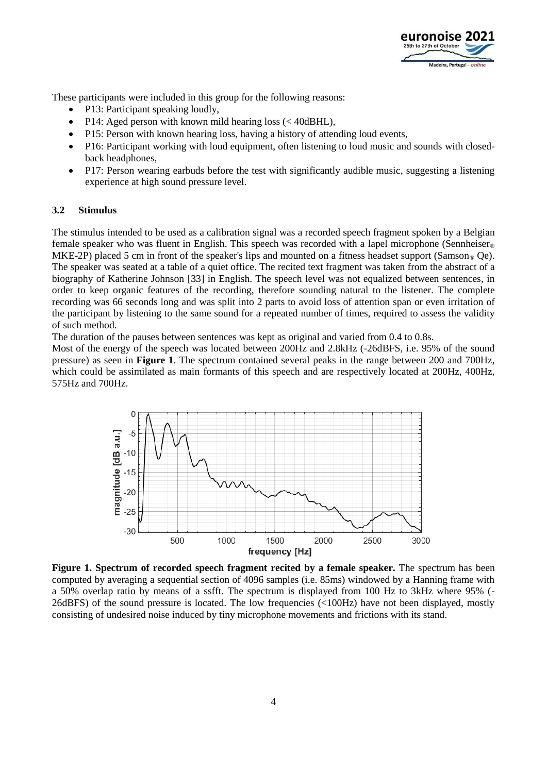

These participants were included in this group for the following reasons:

- P13: Participant speaking loudly,
- P14: Aged person with known mild hearing loss (< 40dBHL),
- P15: Person with known hearing loss, having a history of attending loud events,
- P16: Participant working with loud equipment, often listening to loud music and sounds with closedback headphones,
- P17: Person wearing earbuds before the test with significantly audible music, suggesting a listening experience at high sound pressure level.

#### **3.2 Stimulus**

The stimulus intended to be used as a calibration signal was a recorded speech fragment spoken by a Belgian female speaker who was fluent in English. This speech was recorded with a lapel microphone (Sennheiser<sup>®</sup> MKE-2P) placed 5 cm in front of the speaker's lips and mounted on a fitness headset support (Samson<sup>®</sup> Qe). The speaker was seated at a table of a quiet office. The recited text fragment was taken from the abstract of a biography of Katherine Johnson [33] in English. The speech level was not equalized between sentences, in order to keep organic features of the recording, therefore sounding natural to the listener. The complete recording was 66 seconds long and was split into 2 parts to avoid loss of attention span or even irritation of the participant by listening to the same sound for a repeated number of times, required to assess the validity of such method.

The duration of the pauses between sentences was kept as original and varied from 0.4 to 0.8s.

Most of the energy of the speech was located between 200Hz and 2.8kHz (-26dBFS, i.e. 95% of the sound pressure) as seen in **[Figure 1](#page-3-0)**. The spectrum contained several peaks in the range between 200 and 700Hz, which could be assimilated as main formants of this speech and are respectively located at 200Hz, 400Hz, 575Hz and 700Hz.



<span id="page-3-0"></span>**Figure 1. Spectrum of recorded speech fragment recited by a female speaker.** The spectrum has been computed by averaging a sequential section of 4096 samples (i.e. 85ms) windowed by a Hanning frame with a 50% overlap ratio by means of a ssfft. The spectrum is displayed from 100 Hz to 3kHz where 95% (- 26dBFS) of the sound pressure is located. The low frequencies (<100Hz) have not been displayed, mostly consisting of undesired noise induced by tiny microphone movements and frictions with its stand.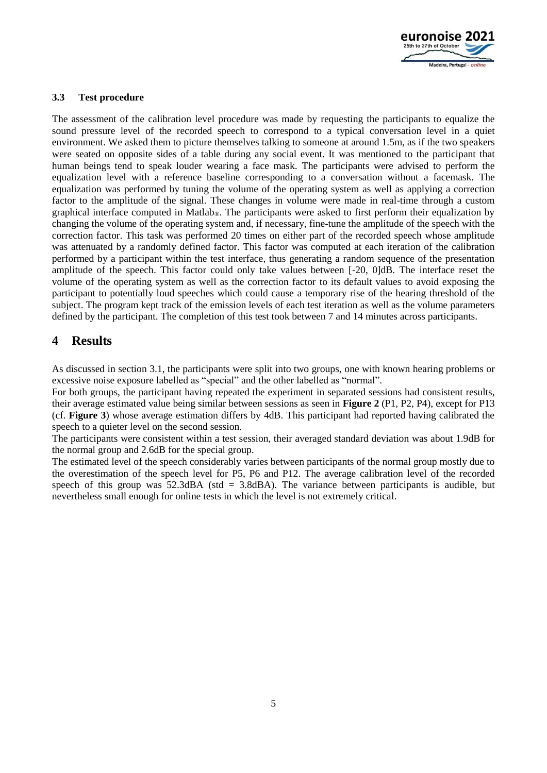

#### **3.3 Test procedure**

The assessment of the calibration level procedure was made by requesting the participants to equalize the sound pressure level of the recorded speech to correspond to a typical conversation level in a quiet environment. We asked them to picture themselves talking to someone at around 1.5m, as if the two speakers were seated on opposite sides of a table during any social event. It was mentioned to the participant that human beings tend to speak louder wearing a face mask. The participants were advised to perform the equalization level with a reference baseline corresponding to a conversation without a facemask. The equalization was performed by tuning the volume of the operating system as well as applying a correction factor to the amplitude of the signal. These changes in volume were made in real-time through a custom graphical interface computed in Matlab®. The participants were asked to first perform their equalization by changing the volume of the operating system and, if necessary, fine-tune the amplitude of the speech with the correction factor. This task was performed 20 times on either part of the recorded speech whose amplitude was attenuated by a randomly defined factor. This factor was computed at each iteration of the calibration performed by a participant within the test interface, thus generating a random sequence of the presentation amplitude of the speech. This factor could only take values between [-20, 0]dB. The interface reset the volume of the operating system as well as the correction factor to its default values to avoid exposing the participant to potentially loud speeches which could cause a temporary rise of the hearing threshold of the subject. The program kept track of the emission levels of each test iteration as well as the volume parameters defined by the participant. The completion of this test took between 7 and 14 minutes across participants.

## **4 Results**

As discussed in section [3.1,](#page-2-0) the participants were split into two groups, one with known hearing problems or excessive noise exposure labelled as "special" and the other labelled as "normal".

For both groups, the participant having repeated the experiment in separated sessions had consistent results, their average estimated value being similar between sessions as seen in **[Figure 2](#page-5-0)** (P1, P2, P4), except for P13 (cf. **[Figure 3](#page-5-1)**) whose average estimation differs by 4dB. This participant had reported having calibrated the speech to a quieter level on the second session.

The participants were consistent within a test session, their averaged standard deviation was about 1.9dB for the normal group and 2.6dB for the special group.

The estimated level of the speech considerably varies between participants of the normal group mostly due to the overestimation of the speech level for P5, P6 and P12. The average calibration level of the recorded speech of this group was  $52.3$ dBA (std = 3.8dBA). The variance between participants is audible, but nevertheless small enough for online tests in which the level is not extremely critical.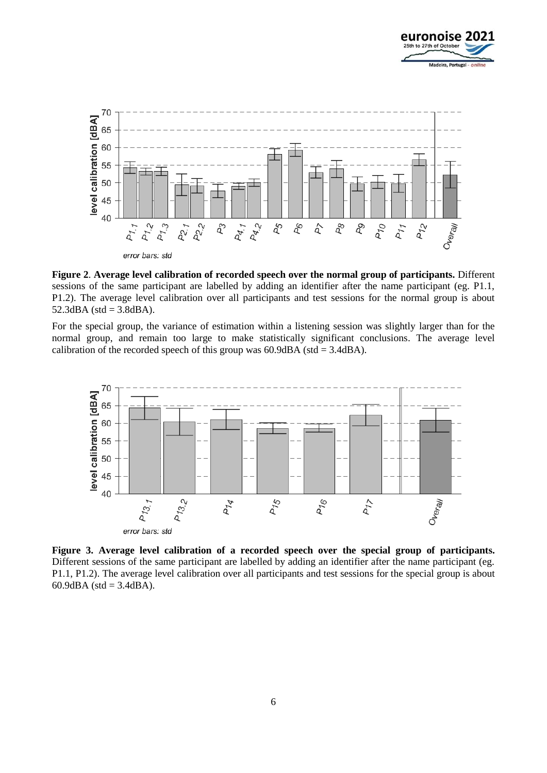



<span id="page-5-0"></span>**Figure 2**. **Average level calibration of recorded speech over the normal group of participants.** Different sessions of the same participant are labelled by adding an identifier after the name participant (eg. P1.1, P1.2). The average level calibration over all participants and test sessions for the normal group is about  $52.3$ dBA (std = 3.8dBA).

For the special group, the variance of estimation within a listening session was slightly larger than for the normal group, and remain too large to make statistically significant conclusions. The average level calibration of the recorded speech of this group was  $60.9 \text{dBA}$  (std = 3.4dBA).



<span id="page-5-1"></span>**Figure 3. Average level calibration of a recorded speech over the special group of participants.**  Different sessions of the same participant are labelled by adding an identifier after the name participant (eg. P1.1, P1.2). The average level calibration over all participants and test sessions for the special group is about 60.9dBA (std =  $3.4$ dBA).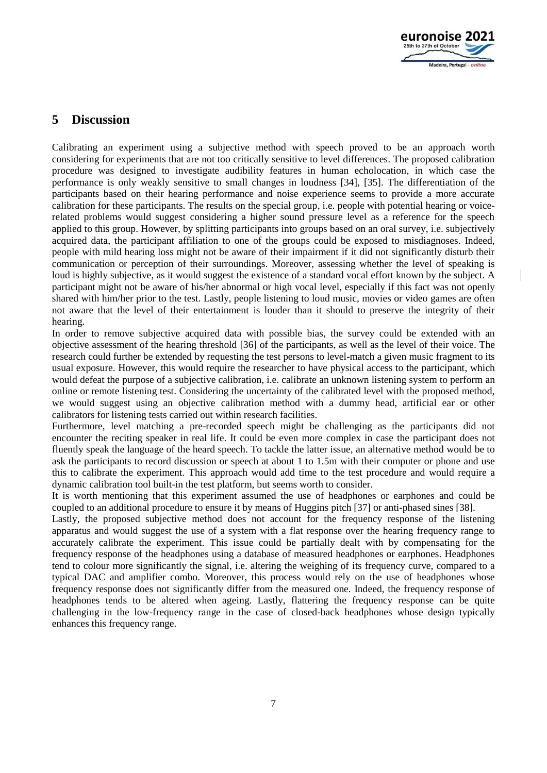

### **5 Discussion**

Calibrating an experiment using a subjective method with speech proved to be an approach worth considering for experiments that are not too critically sensitive to level differences. The proposed calibration procedure was designed to investigate audibility features in human echolocation, in which case the performance is only weakly sensitive to small changes in loudness [34], [35]. The differentiation of the participants based on their hearing performance and noise experience seems to provide a more accurate calibration for these participants. The results on the special group, i.e. people with potential hearing or voicerelated problems would suggest considering a higher sound pressure level as a reference for the speech applied to this group. However, by splitting participants into groups based on an oral survey, i.e. subjectively acquired data, the participant affiliation to one of the groups could be exposed to misdiagnoses. Indeed, people with mild hearing loss might not be aware of their impairment if it did not significantly disturb their communication or perception of their surroundings. Moreover, assessing whether the level of speaking is loud is highly subjective, as it would suggest the existence of a standard vocal effort known by the subject. A participant might not be aware of his/her abnormal or high vocal level, especially if this fact was not openly shared with him/her prior to the test. Lastly, people listening to loud music, movies or video games are often not aware that the level of their entertainment is louder than it should to preserve the integrity of their hearing.

In order to remove subjective acquired data with possible bias, the survey could be extended with an objective assessment of the hearing threshold [36] of the participants, as well as the level of their voice. The research could further be extended by requesting the test persons to level-match a given music fragment to its usual exposure. However, this would require the researcher to have physical access to the participant, which would defeat the purpose of a subjective calibration, i.e. calibrate an unknown listening system to perform an online or remote listening test. Considering the uncertainty of the calibrated level with the proposed method, we would suggest using an objective calibration method with a dummy head, artificial ear or other calibrators for listening tests carried out within research facilities.

Furthermore, level matching a pre-recorded speech might be challenging as the participants did not encounter the reciting speaker in real life. It could be even more complex in case the participant does not fluently speak the language of the heard speech. To tackle the latter issue, an alternative method would be to ask the participants to record discussion or speech at about 1 to 1.5m with their computer or phone and use this to calibrate the experiment. This approach would add time to the test procedure and would require a dynamic calibration tool built-in the test platform, but seems worth to consider.

It is worth mentioning that this experiment assumed the use of headphones or earphones and could be coupled to an additional procedure to ensure it by means of Huggins pitch [37] or anti-phased sines [38].

Lastly, the proposed subjective method does not account for the frequency response of the listening apparatus and would suggest the use of a system with a flat response over the hearing frequency range to accurately calibrate the experiment. This issue could be partially dealt with by compensating for the frequency response of the headphones using a database of measured headphones or earphones. Headphones tend to colour more significantly the signal, i.e. altering the weighing of its frequency curve, compared to a typical DAC and amplifier combo. Moreover, this process would rely on the use of headphones whose frequency response does not significantly differ from the measured one. Indeed, the frequency response of headphones tends to be altered when ageing. Lastly, flattering the frequency response can be quite challenging in the low-frequency range in the case of closed-back headphones whose design typically enhances this frequency range.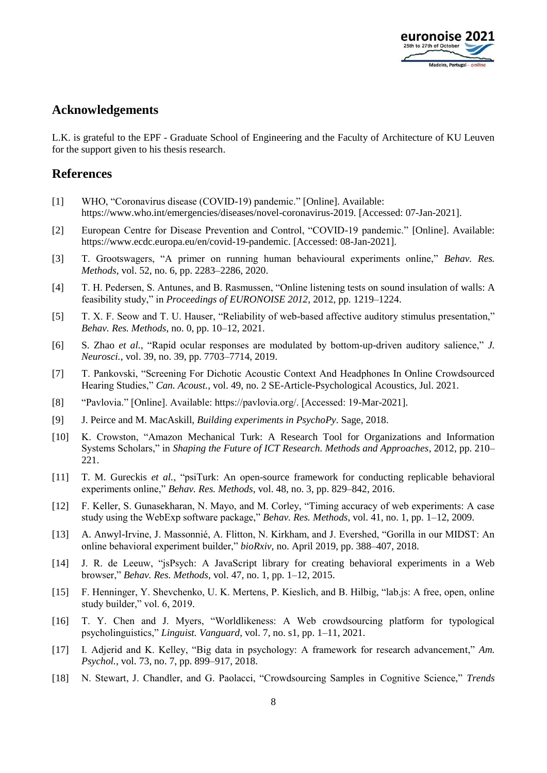

### **Acknowledgements**

L.K. is grateful to the EPF - Graduate School of Engineering and the Faculty of Architecture of KU Leuven for the support given to his thesis research.

### **References**

- [1] WHO, "Coronavirus disease (COVID-19) pandemic." [Online]. Available: https://www.who.int/emergencies/diseases/novel-coronavirus-2019. [Accessed: 07-Jan-2021].
- [2] European Centre for Disease Prevention and Control, "COVID-19 pandemic." [Online]. Available: https://www.ecdc.europa.eu/en/covid-19-pandemic. [Accessed: 08-Jan-2021].
- [3] T. Grootswagers, "A primer on running human behavioural experiments online," *Behav. Res. Methods*, vol. 52, no. 6, pp. 2283–2286, 2020.
- [4] T. H. Pedersen, S. Antunes, and B. Rasmussen, "Online listening tests on sound insulation of walls: A feasibility study," in *Proceedings of EURONOISE 2012*, 2012, pp. 1219–1224.
- [5] T. X. F. Seow and T. U. Hauser, "Reliability of web-based affective auditory stimulus presentation," *Behav. Res. Methods*, no. 0, pp. 10–12, 2021.
- [6] S. Zhao *et al.*, "Rapid ocular responses are modulated by bottom-up-driven auditory salience," *J. Neurosci.*, vol. 39, no. 39, pp. 7703–7714, 2019.
- [7] T. Pankovski, "Screening For Dichotic Acoustic Context And Headphones In Online Crowdsourced Hearing Studies," *Can. Acoust.*, vol. 49, no. 2 SE-Article-Psychological Acoustics, Jul. 2021.
- [8] "Pavlovia." [Online]. Available: https://pavlovia.org/. [Accessed: 19-Mar-2021].
- [9] J. Peirce and M. MacAskill, *Building experiments in PsychoPy*. Sage, 2018.
- [10] K. Crowston, "Amazon Mechanical Turk: A Research Tool for Organizations and Information Systems Scholars," in *Shaping the Future of ICT Research. Methods and Approaches*, 2012, pp. 210– 221.
- [11] T. M. Gureckis *et al.*, "psiTurk: An open-source framework for conducting replicable behavioral experiments online," *Behav. Res. Methods*, vol. 48, no. 3, pp. 829–842, 2016.
- [12] F. Keller, S. Gunasekharan, N. Mayo, and M. Corley, "Timing accuracy of web experiments: A case study using the WebExp software package," *Behav. Res. Methods*, vol. 41, no. 1, pp. 1–12, 2009.
- [13] A. Anwyl-Irvine, J. Massonnié, A. Flitton, N. Kirkham, and J. Evershed, "Gorilla in our MIDST: An online behavioral experiment builder," *bioRxiv*, no. April 2019, pp. 388–407, 2018.
- [14] J. R. de Leeuw, "jsPsych: A JavaScript library for creating behavioral experiments in a Web browser," *Behav. Res. Methods*, vol. 47, no. 1, pp. 1–12, 2015.
- [15] F. Henninger, Y. Shevchenko, U. K. Mertens, P. Kieslich, and B. Hilbig, "lab.js: A free, open, online study builder," vol. 6, 2019.
- [16] T. Y. Chen and J. Myers, "Worldlikeness: A Web crowdsourcing platform for typological psycholinguistics," *Linguist. Vanguard*, vol. 7, no. s1, pp. 1–11, 2021.
- [17] I. Adjerid and K. Kelley, "Big data in psychology: A framework for research advancement," *Am. Psychol.*, vol. 73, no. 7, pp. 899–917, 2018.
- [18] N. Stewart, J. Chandler, and G. Paolacci, "Crowdsourcing Samples in Cognitive Science," *Trends*